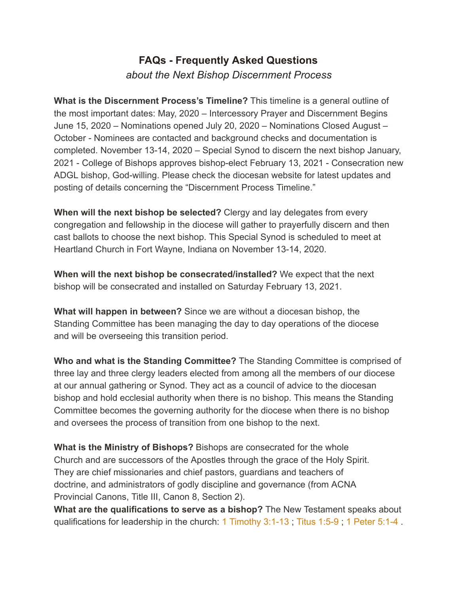## **FAQs - Frequently Asked Questions** *about the Next Bishop Discernment Process*

**What is the Discernment Process's Timeline?** This timeline is a general outline of the most important dates: May, 2020 – Intercessory Prayer and Discernment Begins June 15, 2020 – Nominations opened July 20, 2020 – Nominations Closed August – October - Nominees are contacted and background checks and documentation is completed. November 13-14, 2020 – Special Synod to discern the next bishop January, 2021 - College of Bishops approves bishop-elect February 13, 2021 - Consecration new ADGL bishop, God-willing. Please check the diocesan website for latest updates and posting of details concerning the "Discernment Process Timeline."

**When will the next bishop be selected?** Clergy and lay delegates from every congregation and fellowship in the diocese will gather to prayerfully discern and then cast ballots to choose the next bishop. This Special Synod is scheduled to meet at Heartland Church in Fort Wayne, Indiana on November 13-14, 2020.

**When will the next bishop be consecrated/installed?** We expect that the next bishop will be consecrated and installed on Saturday February 13, 2021.

**What will happen in between?** Since we are without a diocesan bishop, the Standing Committee has been managing the day to day operations of the diocese and will be overseeing this transition period.

**Who and what is the Standing Committee?** The Standing Committee is comprised of three lay and three clergy leaders elected from among all the members of our diocese at our annual gathering or Synod. They act as a council of advice to the diocesan bishop and hold ecclesial authority when there is no bishop. This means the Standing Committee becomes the governing authority for the diocese when there is no bishop and oversees the process of transition from one bishop to the next.

**What is the Ministry of Bishops?** Bishops are consecrated for the whole Church and are successors of the Apostles through the grace of the Holy Spirit. They are chief missionaries and chief pastors, guardians and teachers of doctrine, and administrators of godly discipline and governance (from ACNA Provincial Canons, Title III, Canon 8, Section 2).

**What are the qualifications to serve as a bishop?** The New Testament speaks about qualifications for leadership in the church: 1 Timothy 3:1-13 ; Titus 1:5-9 ; 1 Peter 5:1-4 .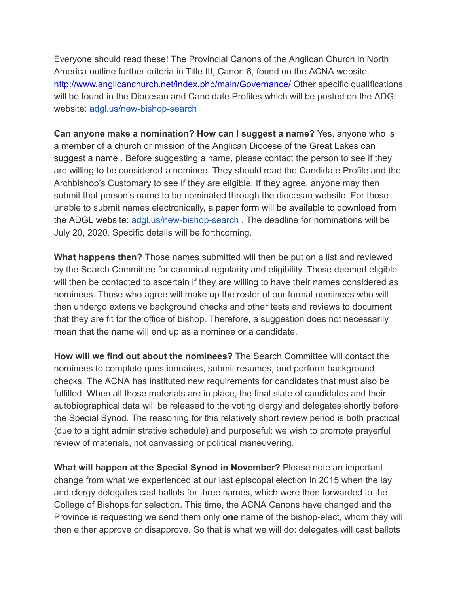Everyone should read these! The Provincial Canons of the Anglican Church in North America outline further criteria in Title III, Canon 8, found on the ACNA website. http://www.anglicanchurch.net/index.php/main/Governance/ Other specific qualifications will be found in the Diocesan and Candidate Profiles which will be posted on the ADGL website: adgl.us/new-bishop-search

**Can anyone make a nomination? How can I suggest a name?** Yes, anyone who is a member of a church or mission of the Anglican Diocese of the Great Lakes can suggest a name . Before suggesting a name, please contact the person to see if they are willing to be considered a nominee. They should read the Candidate Profile and the Archbishop's Customary to see if they are eligible. If they agree, anyone may then submit that person's name to be nominated through the diocesan website. For those unable to submit names electronically, a paper form will be available to download from the ADGL website: adgl.us/new-bishop-search . The deadline for nominations will be July 20, 2020. Specific details will be forthcoming.

**What happens then?** Those names submitted will then be put on a list and reviewed by the Search Committee for canonical regularity and eligibility. Those deemed eligible will then be contacted to ascertain if they are willing to have their names considered as nominees. Those who agree will make up the roster of our formal nominees who will then undergo extensive background checks and other tests and reviews to document that they are fit for the office of bishop. Therefore, a suggestion does not necessarily mean that the name will end up as a nominee or a candidate.

**How will we find out about the nominees?** The Search Committee will contact the nominees to complete questionnaires, submit resumes, and perform background checks. The ACNA has instituted new requirements for candidates that must also be fulfilled. When all those materials are in place, the final slate of candidates and their autobiographical data will be released to the voting clergy and delegates shortly before the Special Synod. The reasoning for this relatively short review period is both practical (due to a tight administrative schedule) and purposeful: we wish to promote prayerful review of materials, not canvassing or political maneuvering.

**What will happen at the Special Synod in November?** Please note an important change from what we experienced at our last episcopal election in 2015 when the lay and clergy delegates cast ballots for three names, which were then forwarded to the College of Bishops for selection. This time, the ACNA Canons have changed and the Province is requesting we send them only **one** name of the bishop-elect, whom they will then either approve or disapprove. So that is what we will do: delegates will cast ballots